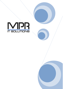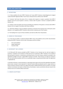### TERMS AND CONDITIONS

### 1. DEFINITIONS

1.1. In these conditions the term 'MPR IT Solutions Ltd' means MPR IT Solutions Limited Registered in England number 6612290. Registered Office: Fraser House, Henwood Ind Est, Ashford, Kent TN24 8DT.

1.2. 'Customer' shall mean the person, firm or company who requests or accepts a quotation from MPR IT Solutions Ltd for the sale of goods or services; or whose order for goods or services is accepted by MPR IT Solutions Ltd.

1.3. 'Products' means the goods and services (including any instalment of the goods or services) which MPR IT Solutions Ltd is to supply in accordance with these conditions.

1.4. 'Third Party Software' means all software owned by or licensed to the Customer from a third-party owner (whether or not supplied by MPR IT Solutions Ltd) and which comprises part of the Products.

1.5. The headings form no part of these Conditions and shall not affect their interpretation.

### 2. ORDER OF PRECEDENCE

2.1. In the event of conflict or confusion between MPR's Terms and Conditions and any other documentation produced by MPR IT Solutions Ltd the order of precedence will be as follows

- Term and Conditions
- Support Agreement
- Customer Order

### 3. MICROSOFT 365 LICENSES

3.1 All Microsoft 365 Licenses provided by MPR IT Solutions Ltd are licensed and not sold and subject to Customer's compliance and acceptance of Microsoft end user agreement. MPR IT Solutions Ltd on behalf of Microsoft grants Customer a nonexclusive and limited license to use the Products ordered as provided in the applicable Use Rights and upon a signed MPR IT Solutions Ltd Order. These licenses are solely for Customer's own use and business purposes and are non-transferable except as expressly permitted under this Agreement or applicable law.

3.2 Duration of licenses. Licenses granted on a subscription basis expire at the end of the applicable subscription period unless renewed. Licenses granted for metered Products billed periodically based on usage continue as long as Customer continues to pay for its usage of the Product. All Microsoft 365 License are sold on a 12-month customer commitment and require a 60-day notice of termination. License commitment will auto renew for the minimum term of 12 months without said notice

### 4. ORDER ACCEPTANCE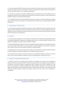4.1. All orders placed with MPR IT Solutions Ltd by the customer for Products shall constitute an offer to MPR IT Solutions Ltd, under these terms and conditions, subject to availability of the product and to the acceptance of the order by MPR IT Solutions Ltd.'s authorised representative.

4.2. All orders are accepted, and Products supplied subject to these express terms and conditions only. No amendment of these terms and conditions will the valid unless confirmed in writing on or after the date hereof by MPR IT Solutions Ltd.'s authorised representative.

4.3. It is agreed that these terms and conditions prevail over the Customer's terms and conditions of purchase unless these latter terms and conditions are amended by MPR IT Solutions Ltd in writing and signed by MPR IT Solutions Ltd.

#### 5. INDEPENDENT CONTRACTOR

5.1. The relationship between the Supplier and Customer is that of independent contractor. Neither party is the agent of the other and neither party has any authority to make any contract or make any obligation expressly or implied in the name of the other party without that party's prior written consent for express purposes connected with the performance of this agreement.

#### 6. DISPATCH

6.1. Anytime quoted for dispatch is to the treated as an estimate only, but dispatch may be postponed because of conditions beyond MPR IT Solutions Ltd reasonable control, and in no event shall MPR IT Solutions Ltd be liable for any damages or penalty for delay in dispatch or delivery.

6.2. Where specifically requested by the customer an expedited delivery be agreed in writing by MPR IT Solutions Ltd, an extra charge may be made to cover any overtime, or any other additional costs involved. A charge may also be made to cover extra costs involved for delivery to a different address.

6.3. Risk shall pass to the customer at the time the Products are dispatched by or on behalf of MPR IT Solutions Ltd. MPR IT Solutions Ltd accepts no liability for loss or damage caused by the carrier.

6.4. If the Product has not been received, the Customer must notify MPR IT Solutions Ltd within 7 days of the date of invoice. If proof of delivery is required, this must he requested within 14 days of the invoice.

#### 7. CANCELLATION AND RESCHEDULING

7.1. Subject to clause 8.2, any request by the Customer for cancellation of any order or for rescheduling of deliveries will only be considered by MPR IT Solutions Ltd if made at least 12 working hours before dispatch of the Products, and shall be subject to acceptance by MPR IT Solutions Ltd at MPR IT Solutions Ltd.'s sole discretion, and subject to a reasonable administration charge by MPR IT Solutions Ltd. The Customer hereby agrees to indemnify MPR IT Solutions Ltd against all loss, costs (including cost of labour and materials used and overheads incurred), damages, charges and expenses arising out of the order and its cancellation or rescheduling.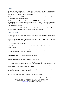# 8. PRICES

 8.1. Catalogue, price lists and other advertising literature or materials as used by MPR IT Solutions Ltd are intended only as indication as to price and range of goods offered and no prices, descriptions or other particulars contained therein shall be binding on MPR IT Solutions Ltd.

8.2. All prices are given by MPR IT Solutions Ltd at the time of the order on an ex-works basis and the Customer is liable to pay transport, packing and insurance.

8.3. All quoted or listed prices are based on the cost to MPR IT Solutions Ltd supplying the Products to the Customer. If before delivery of the Products there occurs any increase in any way of such costs in respect of Products which have not yet been delivered, the price payable may be subject to amendment without notice at MPR IT Solutions Ltd.'s discretion.

8.4. All prices are exclusive of Value Added Tax and any similar taxes. All such taxes are payable by the Customer and will be applied in accordance with U.K. legislation in force at the tax point date.

### 9. PAYMENT TERMS

9.1. The Customer will pay us in cash or otherwise in cleared funds on delivery unless they have an approved credit account.

9.2. If the Customer has an approved credit account, payment is due no later than 30 days after the date of our invoice unless otherwise agreed in writing.

9.3. Time for payment shall be of the essence.

9.4. If you choose to be pay by cheque, you consent to a £5.00 cheque-handling fee, which sum will be subtracted from your payment.

9.5. We may accept payment by other methods (such as credit/debit cards and PayPal) excluding American Express, but a charge of up to 5% of the invoice will apply.

9.6. If the Customer fails to make payment in full on due date, then (without prejudice or any other right or remedy available to MPR IT Solutions Ltd) MPR IT Solutions Ltd may:

a) Cancel the contract or suspend any further deliveries and services (This means that no further goods will be shipped and all support and/ or repair and/or warranty service withdrawn) / or

b) Charge the Customer interest (both before and after any judgment) and charges on the amount unpaid at the rate of 8 percent above Bank of England base rate calculated daily as per the Late Payment of Commercial Debt (Interest) Act 1998 as amended and supplemented by the Late Payment of Commercial Debts Regulations 2002 and debt recovery costs until initial payment in full is received.

c) Where specially negotiated payment terms are agreed, monthly payments not received when payable will also be considered overdue and treated in the same way.

9.7. If the Customer has an approved credit account, MPR IT Solutions Ltd at any point without notice, may withdraw or reduce your credit limit or bring forward your due date for payment

9.8. You do not have the right to set off any money you may claim from us against anything you may owe us.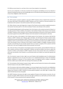9.9. While you owe money to us, we have a lien on any of your property in our possession.

9.10. You are to indemnify us in full and us harmless from all expenses and liabilities we may incur (directly or indirectly including financing costs and including legal costs on full indemnity basic) following any breach by you of any of your obligations under these terms.

### 10. TITLE & RISKS

10.1. ANY Customer's property supplied or returned to MPR IT Solutions Ltd by on behalf of the Customer for any reason shall, while in the possession of MPR IT Solutions Ltd or be in transit to or from the Customer, is to be deemed at the Customer's risk and the Customer shall insure accordingly.

10.2. When all prices, taxes and charges due in respect of the Products and any products supplied previously to the Customer have been paid for in full, title to hardware Products only shall pass to the customer.

10.3. Notwithstanding dispatch and the passing of risk in the Products to the customer pursuant to Clause 4, or any other provision of these conditions, the property in the hardware Products shall not pass to the Customer until MPR IT Solutions Ltd has received in cash or cleared funds payment of the price of the Products and all of the products agreed to be sold by MPR IT Solutions Ltd to the Customer for which payment is then due.

10.4. Until such times as the property in the Products passes to the Customer, the Customer shall hold the Products as MPR IT Solutions Ltd.'s fiduciary agent and bailee, and shall keep the Products properly stored, protected and insured and identified as MPR IT Solutions Ltd.'s property. Until that time the Customer shall he entitled to resell or use the Products in the ordinary course of its business but shall account to MPR IT Solutions Ltd for the proceeds of sale or otherwise of the Products, whether tangible or intangible, including insurance proceeds, and shall keep all such proceeds separate from any monies or property of the customer and third parties and, in the case of tangible proceeds stored, protected, and insured.

10.5. Until such times as the property in the Products passes to the Customer, (and provided the Products are still in existence and have not been resold) MPR IT Solutions Ltd shall be entitled at any time to require the Customer to deliver up the Products to MPR IT Solutions Ltd and, if the Customer fails to do so forthwith, to enter upon any premises of the Customer or any third party where the Products are stored and repossess the Products.

10.6. The Customer's power of sale or right to use such Products shall immediately cease if an Administrative Receiver is appointed over all or any part of its assets or if it is adjudicated bankrupt or enters into liquidation whether compulsory or voluntary, or if the Customer makes an arrangement with its creditors, or generally becomes unable to pay its debts within the meaning of the Insolvency Act 1986.

10.7. On termination of the Customer's power of sale or right to use the Products the Customer will immediately hold the Products to the order of MPR IT Solutions Ltd.

10.8. The Customer shall not be entitled to pledge or in any way charge by way of security for any indebtedness any of the Products which remain the property of MPR IT Solutions Ltd, but if the Customer does so, all monies owing by the Customer to MPR IT Solutions Ltd shall (without prejudice to any other right or remedy of the seller) forthwith become due and payable.

10.9. MPR IT Solutions Ltd reserves the right to cease supplies of Products to the Customer at any time. On such cessation of supplies, MPR IT Solutions Ltd reserves the right to withdraw any credit facility such that the whole of the Customer's account becomes due for payment forthwith.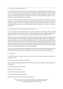# 11. SPECIFICATION OF PRODUCTS

11.1. MPR IT Solutions Ltd will not be liable in respect of any loss or damage caused by or resulting from any variation for whatsoever reason in the manufacturer's specifications or technical data and will not be responsible for any loss or damage resulting from curtailment or cessation of supply following such variation. MPR IT Solutions Ltd will use reasonable endeavour to advise the Customer of any such impending variation as soon as it receives any notice thereof from the manufacturer.

11.2. Unless otherwise agreed, the Products are supplied in accordance with the manufacturer's standard specification. As these may be improved, substituted, or modified, MPR IT Solutions Ltd reserves the right to increase its quoted or listed price, or to charge accordingly in respect of any orders accepted for Products of non-standard specifications and in no circumstances will it consider cancellation of such orders or the return of the Products.

### 12. PROPRIETARY RIGHTS IN SOFTWARE PRODUCTS

12.1. The Customer hereby acknowledges that any propriety rights in any Third-Party Software supplied hereunder including but not limited to any title or ownership rights, patent rights, copyrights and trade secret rights, shall at all times and for all purposes vest and remain vested in the Third-Party Software owner.

12.2. The Customer hereby acknowledges that it is its sole responsibility to comply with any terms and conditions of license attaching to Third Party Software supplied and delivered by MPR IT Solutions Ltd (including if so required the execution and return of a Third Party Software license). The Customer is hereby notified that failure to comply with such terms and conditions could result in the Customer being refused a software license or having the same revoked by the proprietary owner. The Customer further agrees to indemnify MPR IT Solutions Ltd in respect of any costs, charges, or expenses incurred by MPR IT Solutions Ltd at the suit of the Third-Party Software owner as a result of any breach by the Customer of such conditions.

12.3. NO TITLE OR OWNERSHIP OF SOFTWARE PRODUCTS OR ANY THIRD-PARTY SOFTWARE LICENSED TO THE CUSTOMER UNDER THIS AGREEMENT IS TRANSFERRED TO THE CUSTOMER UNDER ANY CIRCUMSTANCE.

### 13. RETURNS

13.1. MPR IT Solutions Ltd reserves the right to levy an administration charge in respect of the rotation of Products and returns.

13.2. Returns must be made subject to the following

a) prior authority having been obtained from MPR IT Solutions Ltd which will be given at MPR IT Solutions Ltd.'s sole discretion.

b) within 30 days of the date of the invoice.

- c) subject to stock rotation policy.
- d) the Products must be properly packed.
- e) the Products must be in saleable condition.
- f) the Products must be accompanied by a detailed packing list.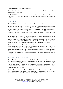g) the Product is covered by warranty (see section 12).

13.3. MPR IT Solutions Ltd. reserves the right to reject any Products returned which do not comply with the conditions set out in clause 11.2.

13.4. If MPR IT Solutions Ltd nevertheless agrees to accept any Products returned in a non-saleable condition, MPR IT Solutions Ltd reserves the right to charge the cost to the Customer of bringing the Products to a saleable condition.

#### 14. WARRANTY

14.1. MPR IT Solutions Ltd warrants that it has good title to or license to supply all Products to the Customer.

14.2. If any part of the hardware Products should prove defective in materials or workmanship under normal operations or service, such Products will be repaired or replaced only in accordance with any warranty cover and terms provided by the manufacturer of the Products PROVIDED THAT no unauthorised modifications to the Product or to the system of which the Product forms part have taken place. MPR IT Solutions Ltd is not responsible for the cost of labour or other expenses incurred in repairing or replacing defective or nonconforming parts.

14.3. All software Products supplied hereunder are supplied 'as is' and the sole obligation of MPR IT Solutions Ltd in connection with the supply of software Products is to use all reasonable endeavour to obtain and supply a corrected version from the manufacturer concerned. In the event that any such software Product should fail to conform to its product description PROVIDED ALWAYS THAT the Customer notifies MPR IT Solutions Ltd of any such non-conformity within 90 days of the date of delivery of the applicable software Product.

14.4. If the Products are rejected by the Customer as not being in accordance with the Customer's order pursuant to clause 12.2 or 12.3, MPR IT Solutions Ltd will only accept the return of such Products provided that it receives written notification thereof giving detailed reasons for rejection. MPR IT Solutions Ltd will not consider any claim for compensation, indemnity, or refund until liability, if any, has been established or agreed with the manufacturer and where applicable, the insurance company. Under no circumstances shall the invoked invoiced Products be deducted or set off by the Customer until MPR IT Solutions Ltd. has passed a corresponding credit note.

#### 15. INDEMNITIES AND LIMITS OF LIABILITY

15.1. MPR IT Solutions Ltd disclaims and excludes all liability to the Customer in connection with these terms and conditions including the customers use of the Products and in no event shall MPR IT Solutions Ltd be liable to the Customer for special, indirect, or consequential damage including but not limited to loss of profits or arising from loss of data or in connection with the use of Products. All terms of any nature, express or implied, statutory, or otherwise, as to correspondence with any particular description or sample, fitness for purpose or merchantability, are hereby excluded.

15.2. The Customer shall indemnify and defend MPR IT Solutions Ltd and its employees in respect of any claims by third parties which are occasioned by or arise from any MPR IT Solutions Ltd.'s performance or nonperformance pursuant to the instructions of the Customer or its authorised representative.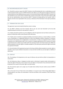# 16. BACKGROUND/SECURITY CHECKS

16.1. Should the customer request that MPR IT Solutions Ltd staff attending their site or undertaking any work on their equipment either on site or at MPR IT Solutions Ltd's offices or any other place be subject to a Disclosure and Barring Service check (DBS) (previously known as Criminal Record Bureau (CRB) check) MPR IT Solutions Ltd will undertake to carry out the check on behalf of the customer and provide a copy of the report subject to DBS fees and any administration costs incurred by MPRT IT Solutions Ltd being paid by the customer. MPR IT Solutions Ltd will not be responsible for the accuracy or otherwise of the information in the report provided by DBS.

# 17. TERMINATION FOR CAUSE

This agreement may be terminated forthwith by notice in writing:

17.1. By MPR IT Solutions Ltd if the Customer fails to pay any sums due hereunder by the due date notwithstanding the provisions for late payment in clause 7.1

17.2. If either party fails to perform any of its obligations under this agreement and such failure continues for a period of 14 days after written notice thereof, by the other party.

17.3. If either party is involved in any legal proceedings concerning its solvency, or ceases trading, or commits an act of bankruptcy or is adjudicated bankrupt or enters into liquidation whether compulsory or voluntary, other than for the purposes of an amalgamation or reconstruction, or makes an arrangement with its creditors or petitions for an administration order or has a receiver or manager appointed over all or any part of its assets or generally becomes unable to pay its debts within the meaning of section 123 of the Insolvency Act 1986, then without prejudice to any other rights or remedies available to it, the other party shall have the right to terminate this agreement forthwith.

17.4. Any termination of this agreement pursuant to this clause shall be without prejudice to any other rights or remedies a party may be entitled to hereunder or at law and shall not affect any accrued rights or liabilities of either party.

# 18. CONTACT

18.1. The headings in this Agreement are for ease of reference only and shall not affect its interpretation or construction.

18.2. No forbearance, delay, or indulgence by either party in enforcing its respective rights shall prejudice or restrict the rights of that party, and no waiver of any such rights or of any breach of any contractual terms shall be deemed to he a waiver of any other right or any later breach.

18.3. The Customer agrees not to assign any of its rights herein without the prior written consent of MPR IT Solutions Ltd.

18.4. In the event of any of these terms and conditions or any part of any of them being judged illegal or unenforceable for any reason, the continuation in full force and effect of the remainder of them shall not be prejudiced.